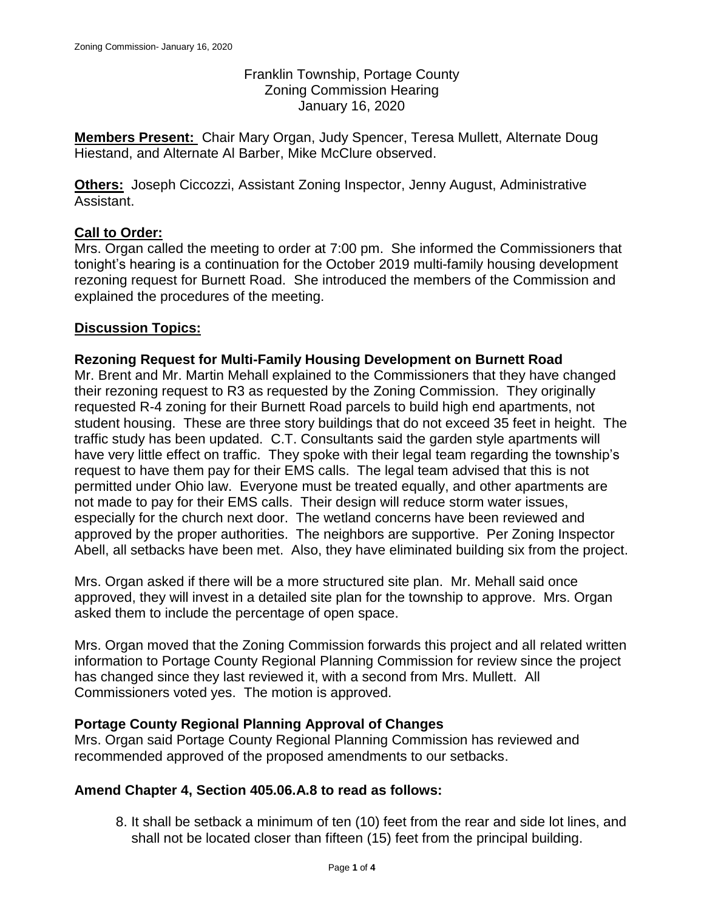Franklin Township, Portage County Zoning Commission Hearing January 16, 2020

**Members Present:** Chair Mary Organ, Judy Spencer, Teresa Mullett, Alternate Doug Hiestand, and Alternate Al Barber, Mike McClure observed.

**Others:** Joseph Ciccozzi, Assistant Zoning Inspector, Jenny August, Administrative Assistant.

# **Call to Order:**

Mrs. Organ called the meeting to order at 7:00 pm. She informed the Commissioners that tonight's hearing is a continuation for the October 2019 multi-family housing development rezoning request for Burnett Road. She introduced the members of the Commission and explained the procedures of the meeting.

## **Discussion Topics:**

## **Rezoning Request for Multi-Family Housing Development on Burnett Road**

Mr. Brent and Mr. Martin Mehall explained to the Commissioners that they have changed their rezoning request to R3 as requested by the Zoning Commission. They originally requested R-4 zoning for their Burnett Road parcels to build high end apartments, not student housing. These are three story buildings that do not exceed 35 feet in height. The traffic study has been updated. C.T. Consultants said the garden style apartments will have very little effect on traffic. They spoke with their legal team regarding the township's request to have them pay for their EMS calls. The legal team advised that this is not permitted under Ohio law. Everyone must be treated equally, and other apartments are not made to pay for their EMS calls. Their design will reduce storm water issues, especially for the church next door. The wetland concerns have been reviewed and approved by the proper authorities. The neighbors are supportive. Per Zoning Inspector Abell, all setbacks have been met. Also, they have eliminated building six from the project.

Mrs. Organ asked if there will be a more structured site plan. Mr. Mehall said once approved, they will invest in a detailed site plan for the township to approve. Mrs. Organ asked them to include the percentage of open space.

Mrs. Organ moved that the Zoning Commission forwards this project and all related written information to Portage County Regional Planning Commission for review since the project has changed since they last reviewed it, with a second from Mrs. Mullett. All Commissioners voted yes. The motion is approved.

## **Portage County Regional Planning Approval of Changes**

Mrs. Organ said Portage County Regional Planning Commission has reviewed and recommended approved of the proposed amendments to our setbacks.

## **Amend Chapter 4, Section 405.06.A.8 to read as follows:**

8. It shall be setback a minimum of ten (10) feet from the rear and side lot lines, and shall not be located closer than fifteen (15) feet from the principal building.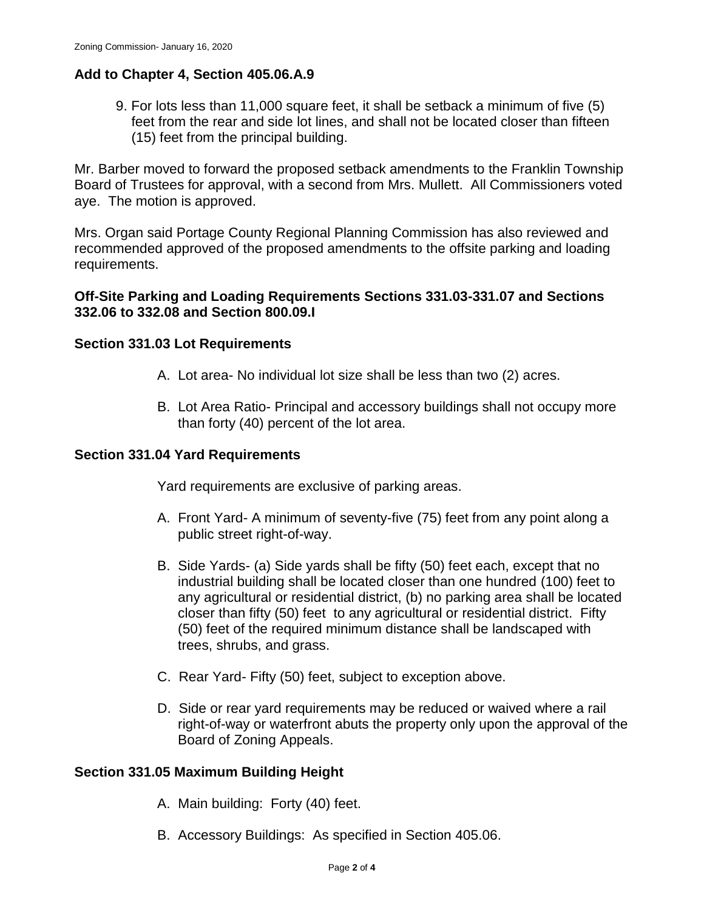## **Add to Chapter 4, Section 405.06.A.9**

9. For lots less than 11,000 square feet, it shall be setback a minimum of five (5) feet from the rear and side lot lines, and shall not be located closer than fifteen (15) feet from the principal building.

Mr. Barber moved to forward the proposed setback amendments to the Franklin Township Board of Trustees for approval, with a second from Mrs. Mullett. All Commissioners voted aye. The motion is approved.

Mrs. Organ said Portage County Regional Planning Commission has also reviewed and recommended approved of the proposed amendments to the offsite parking and loading requirements.

### **Off-Site Parking and Loading Requirements Sections 331.03-331.07 and Sections 332.06 to 332.08 and Section 800.09.I**

#### **Section 331.03 Lot Requirements**

- A. Lot area- No individual lot size shall be less than two (2) acres.
- B. Lot Area Ratio- Principal and accessory buildings shall not occupy more than forty (40) percent of the lot area.

#### **Section 331.04 Yard Requirements**

Yard requirements are exclusive of parking areas.

- A. Front Yard- A minimum of seventy-five (75) feet from any point along a public street right-of-way.
- B. Side Yards- (a) Side yards shall be fifty (50) feet each, except that no industrial building shall be located closer than one hundred (100) feet to any agricultural or residential district, (b) no parking area shall be located closer than fifty (50) feet to any agricultural or residential district. Fifty (50) feet of the required minimum distance shall be landscaped with trees, shrubs, and grass.
- C. Rear Yard- Fifty (50) feet, subject to exception above.
- D. Side or rear yard requirements may be reduced or waived where a rail right-of-way or waterfront abuts the property only upon the approval of the Board of Zoning Appeals.

#### **Section 331.05 Maximum Building Height**

- A. Main building: Forty (40) feet.
- B. Accessory Buildings: As specified in Section 405.06.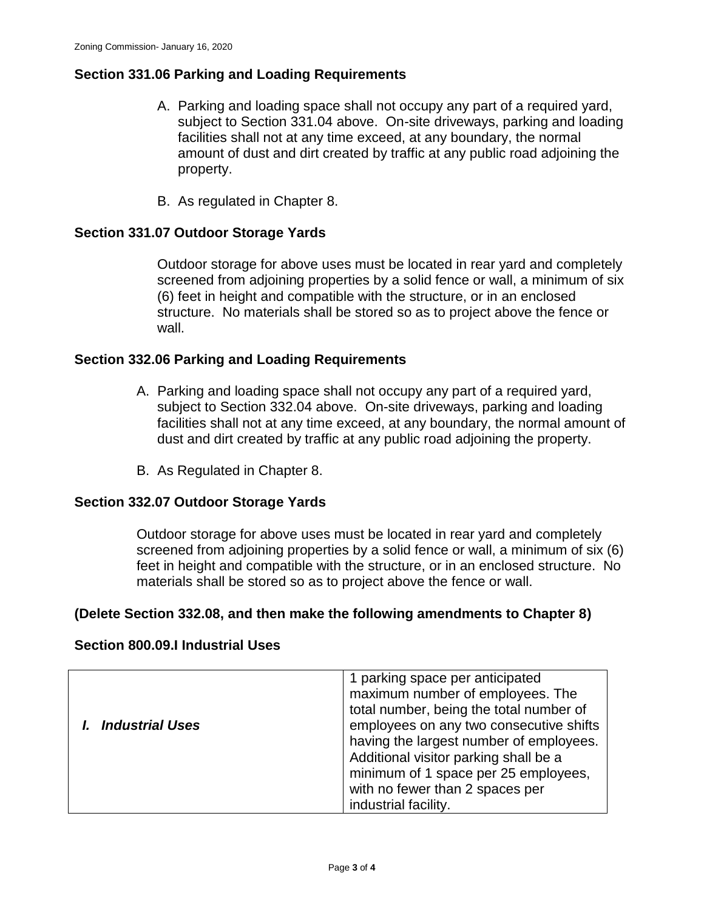## **Section 331.06 Parking and Loading Requirements**

- A. Parking and loading space shall not occupy any part of a required yard, subject to Section 331.04 above. On-site driveways, parking and loading facilities shall not at any time exceed, at any boundary, the normal amount of dust and dirt created by traffic at any public road adjoining the property.
- B. As regulated in Chapter 8.

### **Section 331.07 Outdoor Storage Yards**

Outdoor storage for above uses must be located in rear yard and completely screened from adjoining properties by a solid fence or wall, a minimum of six (6) feet in height and compatible with the structure, or in an enclosed structure. No materials shall be stored so as to project above the fence or wall.

### **Section 332.06 Parking and Loading Requirements**

- A. Parking and loading space shall not occupy any part of a required yard, subject to Section 332.04 above. On-site driveways, parking and loading facilities shall not at any time exceed, at any boundary, the normal amount of dust and dirt created by traffic at any public road adjoining the property.
- B. As Regulated in Chapter 8.

#### **Section 332.07 Outdoor Storage Yards**

Outdoor storage for above uses must be located in rear yard and completely screened from adjoining properties by a solid fence or wall, a minimum of six (6) feet in height and compatible with the structure, or in an enclosed structure. No materials shall be stored so as to project above the fence or wall.

#### **(Delete Section 332.08, and then make the following amendments to Chapter 8)**

### **Section 800.09.I Industrial Uses**

| <b>Industrial Uses</b> | 1 parking space per anticipated<br>maximum number of employees. The<br>total number, being the total number of<br>employees on any two consecutive shifts<br>having the largest number of employees.<br>Additional visitor parking shall be a<br>minimum of 1 space per 25 employees,<br>with no fewer than 2 spaces per |
|------------------------|--------------------------------------------------------------------------------------------------------------------------------------------------------------------------------------------------------------------------------------------------------------------------------------------------------------------------|
|                        | industrial facility.                                                                                                                                                                                                                                                                                                     |